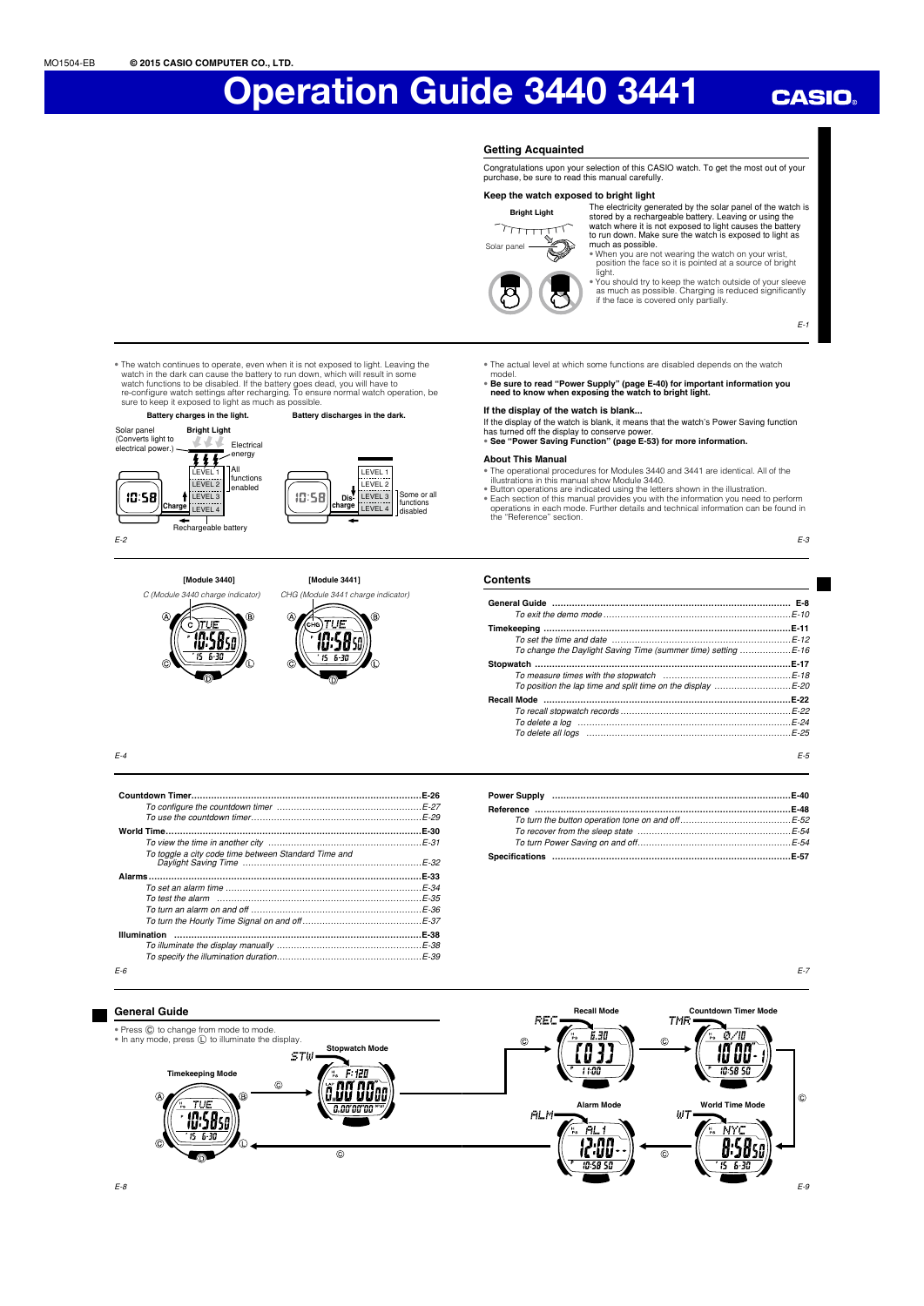## **CASIO**

#### **Getting Acquainted**

Congratulations upon your selection of this CASIO watch. To get the most out of your purchase, be sure to read this manual carefully.

### **Keep the watch exposed to bright light**



The electricity generated by the solar panel of the watch is<br>stored by a rechargeable battery. Leaving or using the<br>watch where it is not exposed to light causes the battery<br>to run down. Make sure the watch is exposed to l

much as possible.<br>
"When you are not wearing the watch on your wrist,<br>
position the face so it is pointed at a source of bright<br>
light.<br>
"You should try to keep the watch outside of your sleeve<br>
as much as possible. Chargi

E-1

- The actual level at which some functions are disabled depends on the watch
	- model. • **Be sure to read "Power Supply" (page E-40) for important information you need to know when exposing the watch to bright light.**

#### **If the display of the watch is blank...**

If the display of the watch is blank, it means that the watch's Power Saving function<br>has turned off the display to conserve power.<br>• See "Power Saving Function" (page E-53) for more information.

- 
- **About This Manual**
- The operational procedures for Modules 3440 and 3441 are identical. All of the
- illustrations in this manual show Module 3440.<br>• Button operations are indicated using the letters shown in the illustration.<br>• Each section of this manual provides you with the information you need to perform<br>operations i

E-3

E-7

E-9

#### **Contents**

| To change the Daylight Saving Time (summer time) setting E-16                                                                                               |                  |
|-------------------------------------------------------------------------------------------------------------------------------------------------------------|------------------|
|                                                                                                                                                             | E-17             |
| Recall Mode ……………………………………………………………………………<br>To delete all logs memorian contained and the control of the control of the control of the control of the cont | $E-22$<br>$F-24$ |
|                                                                                                                                                             | F-5              |

**Battery charges in the light. Battery discharges in the dark. Bright Light** Solar panel (Converts light to electrical power.) ---Electrical  $\overline{H}$ energy

.<br>TAll

• The watch continues to operate, even when it is not exposed to light. Leaving the watch in the dark can cause the battery to run down, which will result in some watch functions to be disabled. If the battery goes dead, y

functions LEVEL 2 enabled  $10:58$ LEVEL 3 **E** LEVEL 4 ┯ Rechargeable battery E-2







 $F-4$ 

|                                                      | $E-26$   |
|------------------------------------------------------|----------|
|                                                      |          |
|                                                      |          |
|                                                      | E-30     |
|                                                      |          |
| To toggle a city code time between Standard Time and | $F-32$   |
|                                                      | E-33     |
|                                                      | $E-34$   |
|                                                      | $F - 35$ |
|                                                      |          |
|                                                      |          |
| Illumination                                         | E-38     |
|                                                      |          |
|                                                      |          |
| $F-6$                                                |          |

| Power Supply …………………………………………………………………………E-40  |  |
|------------------------------------------------|--|
| Reference ……………………………………………………………………………………E-48 |  |
|                                                |  |
|                                                |  |
|                                                |  |
|                                                |  |

**General Guide**

**Recall Mode Countdown Timer Mode**<br> **TMR** REC • Press C to change from mode to mode. • In any mode, press L to illuminate the display. 'nп  $\ddot{c}$  $\ddot{c}$ **Stopwatch Mode** IJ  $STH$ **Timekeeping Mode**  $E = F$ : 120 1101 **8.00 0000**  $\widehat{\alpha}$ Ò  $71E$ **World Time M** a.aaraaraa **Alarm Mode**  $ALM$  $U$ T **10:58**se  $\overline{g}$ . $\zeta \overline{g}$ .nn  $\overline{\circ}$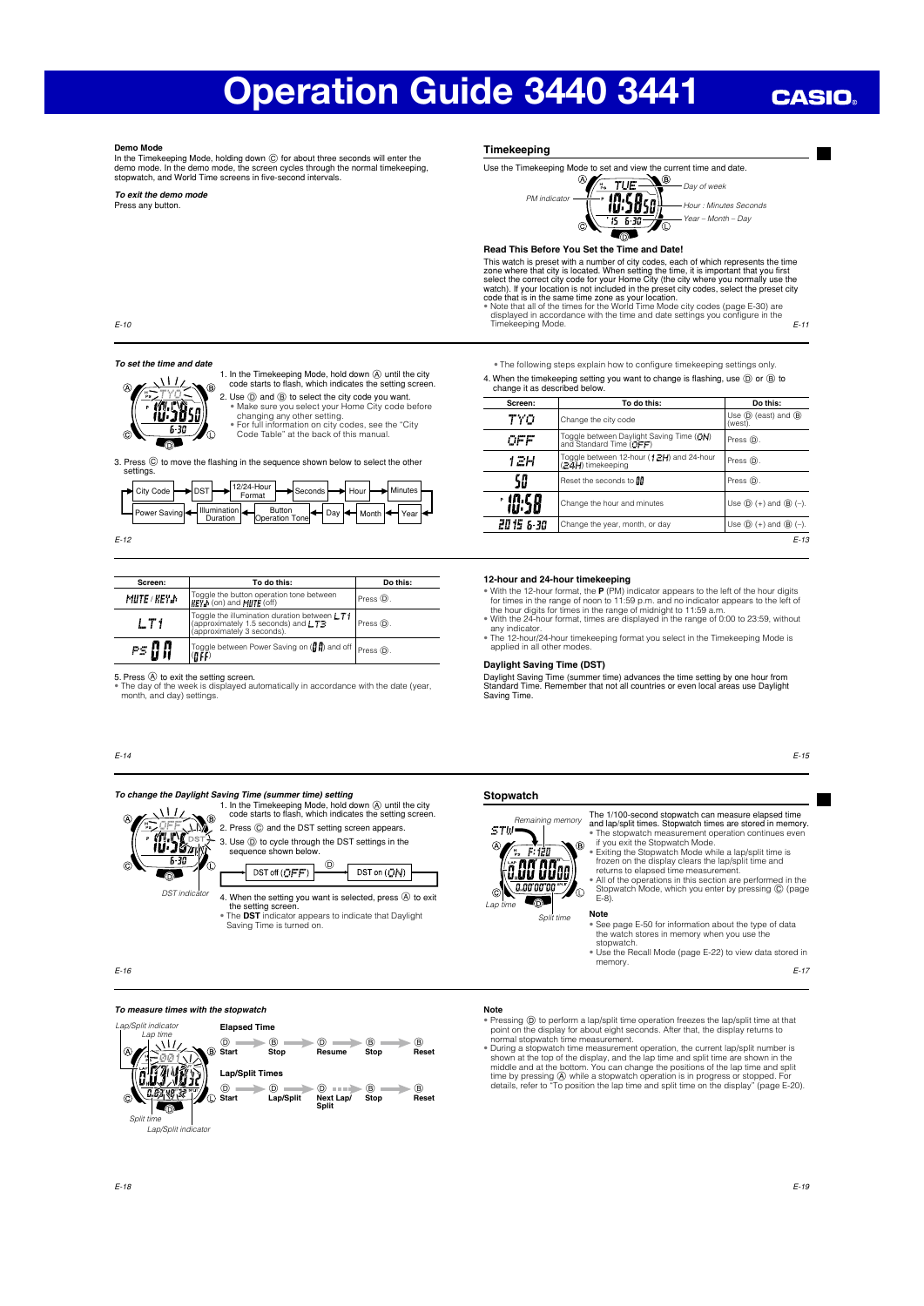## **CASIO**

**The State** 

**Demo Mode**<br>In the Timekeeping Mode, holding down ⓒ for about three seconds will enter the<br>demo mode. In the demo mode, the screen cycles through the normal timekeeping,<br>stopwatch, and World Time screens in five-second in

*To exit the demo mode* Press any button.

#### **Timekeeping**

PM indicator

Use the Timekeeping Mode to set and view the current time and date.<br>  $\bigotimes_{n=1}^{\infty}$ 



## **Read This Before You Set the Time and Date!**

This watch is preset with a number of city codes, each of which represents the time zone where that city is located. When setting the time, it is important that you first select the correct city code for your Home City (t

E-11 displayed in accordance with the time and date settings you configure in the<br>Timekeeping Mode.

*To set the time and date*

E-10

1. In the Timekeeping Mode, hold down  $\bigcirc$  until the city code starts to flash, which indicates the setting screen.

2. Use  $\widehat{\mathbb{O}}$  and  $\widehat{\mathbb{O}}$  to select the city code you want.<br>• Make sure you select your Home City code before<br>• hanging any other setting.<br>• For full information on city codes, see the "City<br>Code Table" at the bac

3. Press  $@$  to move the flashing in the sequence shown below to select the other settings.

| r→ City Code   → DST         |          | $12/24$ -Hour<br>Format | Seconds Hour Hour Minutes                                                                                              |  |  |  |  |
|------------------------------|----------|-------------------------|------------------------------------------------------------------------------------------------------------------------|--|--|--|--|
| Power Saving    Illumination | Duration |                         | $T$   $\leftarrow$ Button<br>Operation Tone   $\leftarrow$ Day   $\leftarrow$ Month   $\leftarrow$ Year   $\leftarrow$ |  |  |  |  |

E-12

| Screen:              | To do this:                                                                                                       | Do this:   |
|----------------------|-------------------------------------------------------------------------------------------------------------------|------------|
| <b>MUTE</b> / KEY JY | Toggle the button operation tone between<br>KEY h (on) and MIITE (off)                                            | Press (D). |
| LT 1                 | Toggle the illumination duration between LT1<br>(approximately 1.5 seconds) and LT3<br>(approximately 3 seconds). |            |
|                      | Toggle between Power Saving on (<br>(f F)                                                                         |            |

5. Press ④ to exit the setting screen.<br>\* The day of the week is displayed automatically in accordance with the date (year,<br>month, and day) settings.

#### E-14



• The **DST** indicator appears to indicate that Daylight Saving Time is turned on.

 $\circledR$ 

DST on ((TM)

E-16

## *To measure times with the stopwatch*



• The following steps explain how to configure timekeeping settings only. 4. When the timekeeping setting you want to change is flashing, use  $(\circled{0})$  or  $(\circled{0})$  to change it as described below.

| Screen:   | To do this:                                                         | Do this:                                          |
|-----------|---------------------------------------------------------------------|---------------------------------------------------|
| TYO       | Change the city code                                                | Use $\circledD$ (east) and $\circledB$<br>(west). |
| off       | Toggle between Daylight Saving Time (ON)<br>and Standard Time (OFF) | Press (D).                                        |
| 1 Z.H     | Toggle between 12-hour (12H) and 24-hour<br>(24H) timekeeping       | Press (D).                                        |
| 58        | Reset the seconds to <b>III</b>                                     | Press (D).                                        |
| * 10:58   | Change the hour and minutes                                         | Use $\circledD$ (+) and $\circledB$ (-).          |
| 2015 6-30 | Change the year, month, or day                                      | Use $\circled{D}$ (+) and $\circled{B}$ (-).      |
|           |                                                                     | $F - 13$                                          |

#### **12-hour and 24-hour timekeeping**

- With the 12-hour format, the **P** (PM) indicator appears to the left of the hour digits<br>for times in the range of noon to 11:59 p.m. and no indicator appears to the left of<br>the hour digits for times in the range of midnig
- any indicator. The 12-hour/24-hour timekeeping format you select in the Timekeeping Mode is
- applied in all other modes.

#### **Daylight Saving Time (DST)**

Daylight Saving Time (summer time) advances the time setting by one hour from Standard Time. Remember that not all countries or even local areas use Daylight Saving Time.

E-15

#### **Stopwatch**



The 1/100-second stopwatch can measure elapsed time and lap/split times. Stopwatch times are stored in memory. • The stopwatch measurement operation continues even

if you exit the Stopwatch Mode.<br>  $\epsilon$  Exiting the Stopwatch Mode while a lap/split time is<br>
frozen on the display clears the lap/split time and<br>
returns to elapsed time measurement.<br>  $\epsilon$  All of the operations in this sec

 $E-8$ 

- **Note** • See page E-50 for information about the type of data
- the watch stores in memory when you use the
- stopwatch. Use the Recall Mode (page E-22) to view data stored in memory.

E-17

- **Note**
- Pressing  $\overline{Q}$  to perform a lap/split time operation freezes the lap/split time at that<br>point on the display for about eight seconds. After that, the display returns to<br>normal stopwatch time measurement.<br>• During a s

 $S$ pl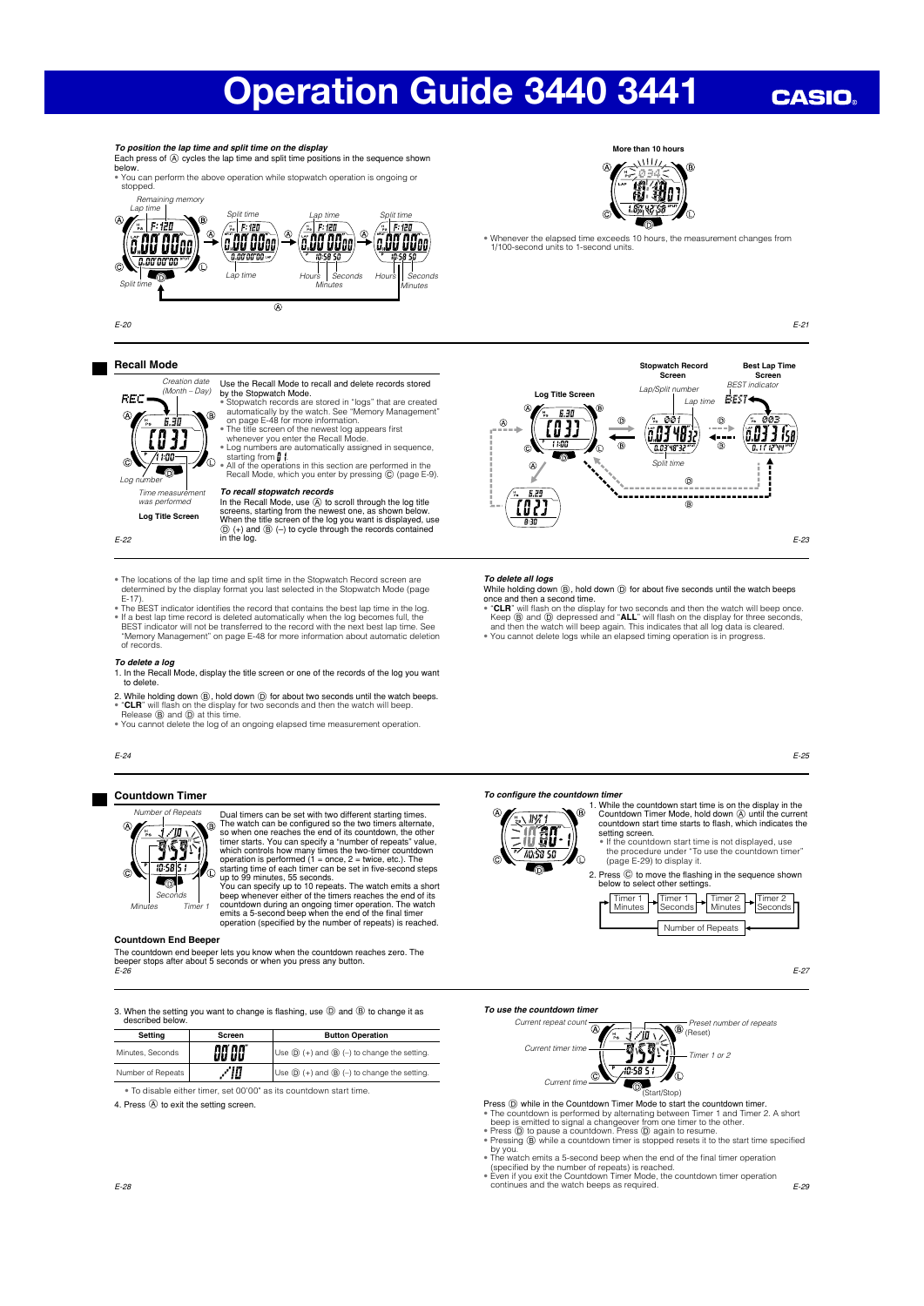## **CASIO**



### **Recall Mode**

Use the Recall Mode to recall and delete records stored<br>by the Stopwatch Mode. by the Stopwatch Model.<br>  $\bullet$  Stopwatch records are stored in "logs" that are created<br>  $\bullet$  automatically by the watch. See "Memory Management"<br>
on page E-48 for more information.<br>  $\bullet$  The title screen of the newest log Creation date (Month – Day)

In the Recall Mode, use (A) to scroll through the log title



 $Time\,m$ was performed **Log Title Screen**

E-22

screens, starting from the newest one, as shown below.<br>When the title screen of the log you want is displayed, use<br>
① (+) and ⑧ (-) to cycle through the records contained<br>in the log.

*To recall stopwatch records*

- The locations of the lap time and split time in the Stopwatch Record screen are determined by the display format you last selected in the Stopwatch Mode (page
- E-17).<br>• The BEST indicator identifies the record that contains the best lap time in the log.<br>• If a best lap time record is deleted automatically when the log becomes full, the<br>BEST indicator will not be transferred to th of records.

- *To delete a log*<br>1. In the Recall Mode, display the title screen or one of the records of the log you want<br>to delete.
- 2. While holding down (9), hold down (0) for about two seconds until the watch beeps.<br>• "CLR" will flash on the display for two seconds and then the watch will beep.<br>• Release (9) and (0) at this time.<br>• You cannot delete
- 

E-24

#### **Countdown Timer**



Dual timers can be set with two different starting times.  $\hat{P}$ The watch can be configured so the two timers alternate, so when one reaches the end of its countdown, the other timer starts. You can specify a "number of repeats" value, which controls how many times the two-timer countdown operation is performed (1 = once, 2 = twice, etc.). The

starting time of each timer can be set in five-second steps<br>up to 99 minutes, 55 seconds.<br>You can specify up to 10 repeats. The watch emits a short<br>beep wheneve either of the timers reaches the end of its<br>countdown during

### **Countdown End Beeper**

The countdown end beeper lets you know when the countdown reaches zero. The beeper stops after about 5 seconds or when you press any button.

E-26

3. When the setting you want to change is flashing, use  $(D)$  and  $(B)$  to change it as described below.

| Settina           | Screen        | <b>Button Operation</b>                                              |
|-------------------|---------------|----------------------------------------------------------------------|
| Minutes, Seconds  | <b>00'00"</b> | Use $(\mathbb{D})$ (+) and $(\mathbb{B})$ (-) to change the setting. |
| Number of Repeats | ΊΠ            | Use $\mathbb{D}$ (+) and $\mathbb{B}$ (-) to change the setting.     |

• To disable either timer, set 00'00" as its countdown start time.

4. Press (A) to exit the setting screen.



**More than 10 hours**

#### *To delete all logs*

- While holding down  $(\circled{B})$ , hold down  $(\circled{D})$  for about five seconds until the watch beeps<br>once and then a second time.<br> $\bullet$  CLR<sup>\*</sup> will flash on the display for two seconds and then the watch will beep once.<br>Keep  $(\circled{$
- 

E-25

E-23

#### *To configure the countdown timeral*



1. While the countdown start time is on the display in the Countdown Timer Mode, hold down  $\circledA$  until the current countdown start time starts to flash, which indicates the setting screen. • If the countdown start time is not displayed, use

the procedure under "To use the countdown timer" (page E-29) to display it.

2. Press  $\circled{c}$  to move the flashing in the sequence shown below to select other settings.

Timer 1 Minutes Timer 1 Seconds Timer 2 Minutes Timer<sub>2</sub> Seconds Number of Repeats

E-27

#### **To use the countdown time**



- **Press ©) while in the Countdown Timer Mode to start the countdown timer.**<br> **Press ©)** while in the Countdown is performed by alternating between Timer 1 and Timer 2. A short<br>
beep is emitted to signal a changeover from on
- 
- 
- 
- continues and the watch beeps as required.

E-29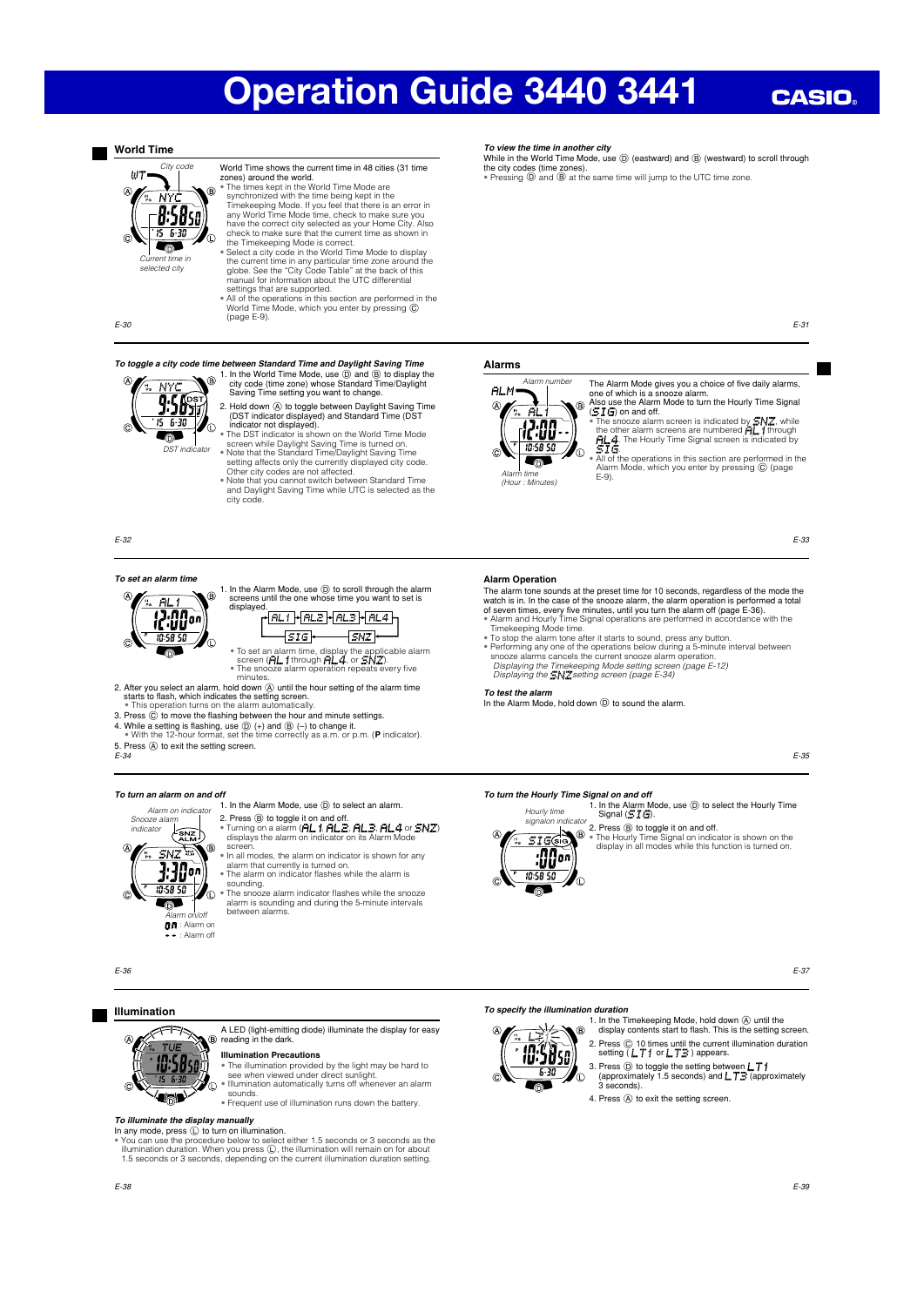## **CASIO**

### **World Time**



World Time shows the current time in 48 cities (31 time<br>zones) around the world.<br>• The times kept in the World Time Mode are<br>synchronized with the time being kept in the<br>Timekeeping Mode. If you feel that there is an error have the correct city selected as your Home City. Also check to make sure that the current time as shown in

the Timekeeping Mode is correct.<br>• Select a city code in the World Time Mode to display<br>the current time in any particular time zone around the<br>globe. See the "City Code Table" at the back of this<br>manual for information ab settings that are supported.

• All of the operations in this section are performed in the World Time Mode, which you enter by pressing  $\odot$ (page E-9).

E-30



To toggle a city code time between Standard Time and Daylight Saving Time<br>  $\bigotimes_{\substack{m=1,2,3,4} \text{odd, odd}}}$  in the World Time Mode, use  $\bigotimes_{\substack{m=1,3,4,5,5,6,6 \text{odd.}} \text{mod} \text{d}}$  in the World Time zone) whose Standard Time/Da 2. Hold down  $\overline{A}$  to toggle between Daylight Saving Time (DST indicator displayed) and Standard Time (DST

indicator not displayed).<br>
• The DST indicator is shown on the World Time Mode<br>
• The DST indicator is shown on the World Time ion<br>
• Note that the Standard Time/Daylight Saving Time<br>
• setting affects only the currently d

• Note that you cannot switch between Standard Time and Daylight Saving Time while UTC is selected as the city code.

E-32

#### *To set an alarm time*



1. In the Alarm Mode, use  $\circled{D}$  to scroll through the alarm screens until the one whose time you want to set is displayed.

 $\overline{\text{sig}}$  $\sqrt{SNZ}$ • To set an alarm time, display the applicable alarm<br>• screen ( **FIL, 1** through **FIL 4** , or **CN Z**).<br>• The snooze alarm operation repeats every five

• The sno<br>minutes

2. After you select an alarm, hold down  $\overline{\omega}$  until the hour setting of the alarm time starts to flash, which indicates the setting screen.<br>• This operation turns on the alarm automatically.

3. Press  $\circled{c}$  to move the flashing between the hour and minute settings.

- 
- 4. While a setting is flashing, use  $\overline{\mathbb{Q}}$  (+) and  $\overline{\mathbb{Q}}$  (-) to change it.<br>4. While a setting is flashing, use  $\overline{\mathbb{Q}}$  (+) and  $\overline{\mathbb{Q}}$  (-) to change it.<br>• With the 12-hour format, set the time correctly
- 5. Press  $\overline{A}$  to exit the setting screen.<br>E-34

SNZ

 $\frac{SNZ}{SNZ}$ 

 $\frac{1}{3}\overline{30}$ 

: Alarm on : Alarm off

Ô.

间.

n

#### *To turn an alarm on and off* Alarm on indicator

Snooze alarm indicator

1. In the Alarm Mode, use  $\circledD$  to select an alarm

- 2. Press ⑧ to toggle it on and off.<br>• Turning on a alarm (月上 1, 月上三, 月上三, 月上4 or *SN*Z)<br>· displays the alarm on indicator on its Alarm Mode ®. screen.
	- In all modes, the alarm on indicator is shown for any alarm that currently is turned on. The alarm on indicator fl ashes while the alarm is
	- sounding. souriding.<br>The snooze alarm indicator flashes while the snooze
- alarm is sounding and during the 5-minute intervals  $\overline{A}$  between alarms.

A LED (light-emitting diode) illuminate the display for easy reading in the dark.

• The illumination provided by the light may be hard to see when viewed under direct sunlight. • Illumination automatically turns off whenever an alarm

• Frequent use of illumination runs down the battery.

*To view the time in another city*

While in the World Time Mode, use  $\circledD$  (eastward) and  $\circledB$  (westward) to scroll through the city codes (time zones).<br>• Pressing  $\textcircled{D}$  and  $\textcircled{B}$  at the same time will jump to the UTC time zone.

E-31

#### **Alarms**



Alarm time (Hour : Minutes)

The Alarm Mode gives you a choice of five daily alarms, one of which is a snooze alarm.<br>Also use the Alarm Mode to tur If writen is a shoote did.....<br>use the Alarm Mode to turn the Hourly Time Signal

Alarm Mode, which you enter by pressing C (page

E-33

The alarm tone sounds at the preset time for 10 seconds, regardless of the mode the watch is in. In the case of the snooze alarm, the alarm operation is performed a total of seven times, every five minutes, until you turn

- Timekeeping Mode time. To stop the alarm tone after it starts to sound, press any button.
- 
- Performing any one of the operations below during a 5-minute interval between<br>snooze alarms cancels the current snooze alarm operation.<br>Displaying the Timekeeping Mode setting screen (page E-12)<br>Displaying the  $\exists NZ$ sett

In the Alarm Mode, hold down  $\overline{D}$  to sound the alarm.

E-35

#### *To turn the Hourly Time Signal on and off*

1. In the Alarm Mode, use  $\circledcirc$  to select the Hourly Time Signal  $(\Xi I \Xi)$ .







#### *To specify the illumination duration*

**10.38**50

 $5 - 35$ 

.<br>T

1. In the Timekeeping Mode, hold down (A) until the .<br>ഭൂ display contents start to flash. This is the setting screen.

2. Press  $\textcircled{c}$  10 times until the current illumination duration setting ( $LT$  ) or  $LT$  s) appears.

3. Press  $\textcircled{)}$  to toggle the setting between  $\textup{L}$ ,  $\textup{T}$ , approximately (approximately 3 seconds).

4. Press (A) to exit the setting screen.

*To illuminate the display manually*

10:5850

{ard

In any mode, press  $\overline{\mathbb{Q}}$  to turn on illumination.<br>• You can use the procedure below to select either 1.5 seconds or 3 seconds as the<br>illumination duration. When you press  $\overline{\mathbb{Q}}$ , the illumination will remain on

**Illumination Precautions**

sounds.

a

E-36

G.

**Illumination**

Hourly time signalon indicator  $\overline{\mathbf{u}}$ 

*To test the alarm*

**Alarm Operation**

S I G) on and off.<br>• The snooze alarm screen is indicated by SNZ, while<br>the other alarm screens are numbered **FL, 1** through<br>**FL4**. The Hourly Time Signal screen is indicated by<br>S I G.

• All of the operations in this section are performed in the  $E-9$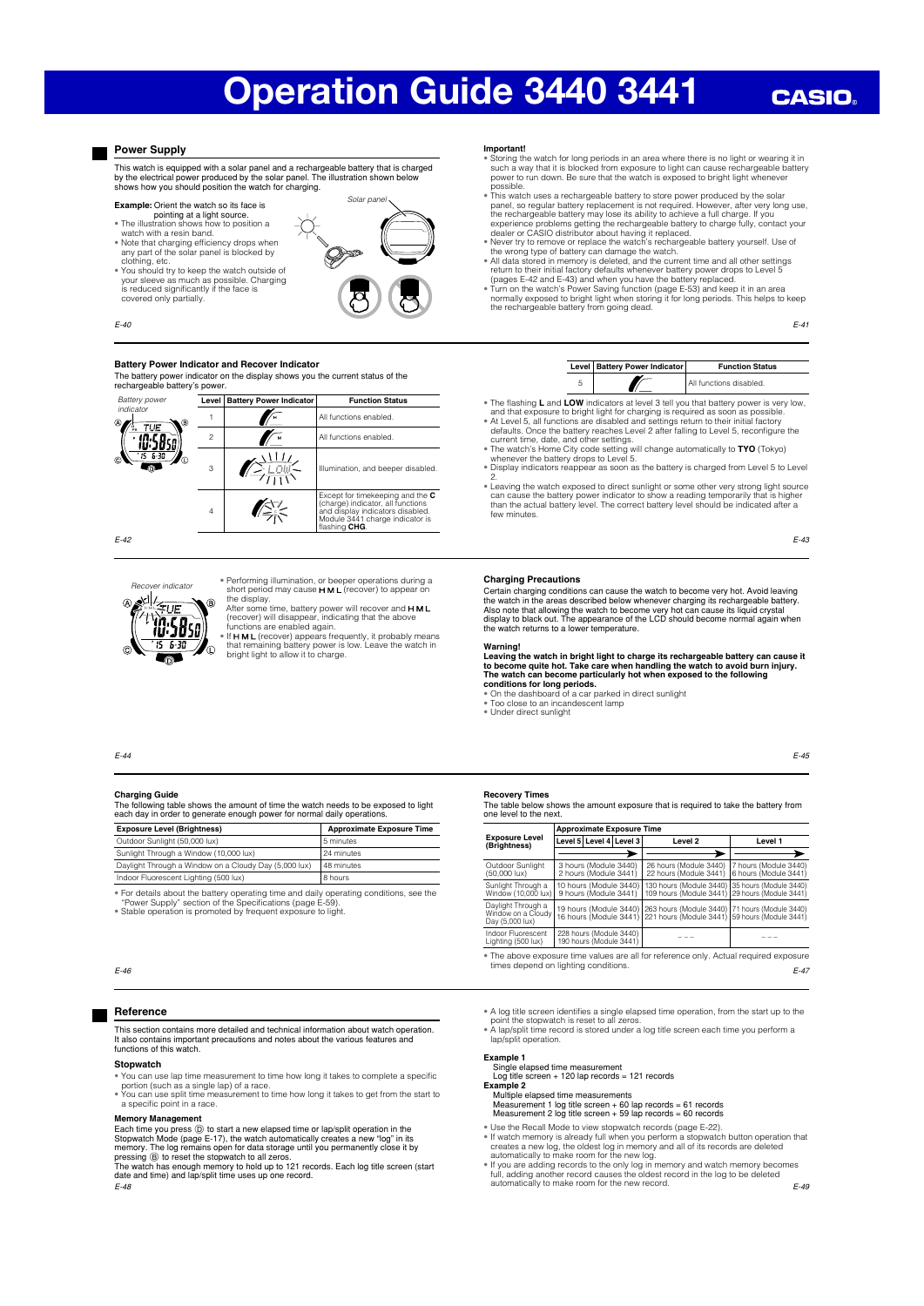## **CASIO**

### **Power Supply**

covered only partially

This watch is equipped with a solar panel and a rechargeable battery that is charged<br>by the electrical power produced by the solar panel. The illustration shown below<br>shows how you should position the watch for charging.

#### **Example:** Orient the watch so its face is

- pointing at a light source. The illustration shows how to position a
- watch with a resin band.
- 
- Note that charging efficiency drops when<br>any part of the solar panel is blocked by<br>clothing, etc.<br>• You should try to keep the watch outside of your sleeve as much as possible. Charging is reduced significantly if the face is



Solar pane

### $F-40$

#### **Battery Power Indicator and Recover Indicator**

The battery power indicator on the display shows you the current status of the rechargeable battery's power.



Recover indicator

.<br>חן ויו **7.58** se  $\overline{B}$ 

• Performing illumination, or beeper operations during a<br>short period may cause **H M L** (recover) to appear on

the display.<br>After some time, battery power will recover and **H M L**<br>(recover) will disappear, indicating that the above<br>functions are enabled again.<br>• If **H M L** (recover) appears frequently, it probably means

that remaining battery power is low. Leave the watch in bright light to allow it to charge.

#### **Important!**

- ® Storing the watch for long periods in an area where there is no light or wearing it in<br>such a way that it is blocked from exposure to light can cause rechargeable battery<br>power to run down. Be sure that the watch is expo
- possible.<br>• This watch uses a rechargeable battery to store power produced by the solar<br>panel, so regular battery replacement is not required. However, after very long use,<br>the rechargeable battery may lose its ability to
- 
- 
- experience problems getting the rechargeable battery to charge fully, contact your<br>dealer or CASIO distributor about having it replaced.<br>• Newer try to remove or replace the watch's rechargeable battery yourself. Use of<br>th

E-41

| Level   Battery Power Indicator | <b>Function Status</b>  |
|---------------------------------|-------------------------|
|                                 | All functions disabled. |

- The flashing L and LOW indicators at level 3 tell you that battery power is very low,
- and that exposure to bright light for charging is required as soon as possible.<br>  $\bullet$  At Level 5, all functions are disabled and settings return to their initial factory<br>
defaults. Once the battery reaches Level 2 after f
- 
- Display indicators reappear as soon as the battery is charged from Level 5 to Level
- 2.<br>• Leaving the watch exposed to direct sunlight or some other very strong light source<br>can cause the battery power indicator to show a reading temporarily that is higher<br>than the actual battery level. The correct battery few minutes.

E-43

E-45

#### **Charging Precautions**

Certain charging conditions can cause the watch to become very hot. Avoid leaving<br>the watch in the areas described below whenever charging its rechargeable battery.<br>Also note that allowing the watch to become very hot can the watch returns to a lower temperature.

Warning!<br>Leaving the watch in bright light to charge its rechargeable battery can cause it<br>to become quite hot. Take care when handling the watch to avoid burn injury.<br>The watch can become particularly hot when exposed to **conditions for long periods.**  • On the dashboard of a car parked in direct sunlight

• Too close to an incandescent lamp

• Under direct sunlight

#### E-44

#### **Charging Guide**

The following table shows the amount of time the watch needs to be exposed to light each day in order to generate enough power for normal daily operations.

| <b>Exposure Level (Brightness)</b>                    | <b>Approximate Exposure Time</b> |
|-------------------------------------------------------|----------------------------------|
| Outdoor Sunlight (50,000 lux)                         | 15 minutes                       |
| Sunlight Through a Window (10,000 lux)                | 24 minutes                       |
| Daylight Through a Window on a Cloudy Day (5,000 lux) | 48 minutes                       |
|                                                       |                                  |

Indoor Fluorescent Lighting (500 lux) 8 hours • For details about the battery operating time and daily operating conditions, see the "Power Supply" section of the Specifi cations (page E-59).

• Stable operation is promoted by frequent exposure to light.

#### E-46

#### **Reference**

This section contains more detailed and technical information about watch operation. It also contains important precautions and notes about the various features and functions of this watch.

#### **Stopwatch**

- You can use lap time measurement to time how long it takes to complete a specifi c portion (such as a single lap) of a race. • You can use split time measurement to time how long it takes to get from the start to
- a specific point in a race.

### **Memory Management**

Each time you press  $\textcircled{)}$  to start a new elapsed time or lap/split operation in the Stopwatch Mode (page E-17), the watch automatically creates a new "log" in its memory. The log remains open for data storage until you

E-48

|                                                             |                                                                                     | <b>Approximate Exposure Time</b>                 |                                                                                                  |                                                   |
|-------------------------------------------------------------|-------------------------------------------------------------------------------------|--------------------------------------------------|--------------------------------------------------------------------------------------------------|---------------------------------------------------|
| <b>Exposure Level</b><br>(Brightness)                       |                                                                                     | Level 5 Level 4 Level 3                          | Level <sub>2</sub>                                                                               | Level 1                                           |
|                                                             |                                                                                     |                                                  |                                                                                                  |                                                   |
| Outdoor Sunlight<br>$(50,000 \text{ lux})$                  | 3 hours (Module 3440)<br>2 hours (Module 3441)                                      |                                                  | 26 hours (Module 3440)<br>22 hours (Module 3441)                                                 | 7 hours (Module 3440)<br>6 hours (Module 3441)    |
| Sunlight Through a<br>Window (10,000 lux)                   | 10 hours (Module 3440)<br>9 hours (Module 3441)                                     |                                                  | 130 hours (Module 3440)<br>109 hours (Module 3441)                                               | 135 hours (Module 3440)<br>29 hours (Module 3441) |
| Daylight Through a<br>Window on a Cloudy<br>Day (5,000 lux) |                                                                                     | 19 hours (Module 3440)<br>16 hours (Module 3441) | 263 hours (Module 3440) 71 hours (Module 3440)<br>221 hours (Module 3441) 59 hours (Module 3441) |                                                   |
| Indoor Fluorescent<br>Lighting (500 lux)                    | 228 hours (Module 3440)<br>190 hours (Module 3441)                                  |                                                  |                                                                                                  |                                                   |
| <b>STATE A</b>                                              | and the contract of the contract of the contract of the contract of the contract of |                                                  |                                                                                                  |                                                   |

E-47 • The above exposure time values are all for reference only. Actual required exposure the above exposure time values are

• A log title screen identifies a single elapsed time operation, from the start up to the

point the stopwatch is reset to all zeros. • A lap/split time record is stored under a log title screen each time you perform a lap/split operation

#### **Example 1**

Single elapsed time measurement Log title screen + 120 lap records = 121 records

- **Example 2** Multiple elapsed time measurements
- Measurement 1 log title screen + 60 lap records = 61 records Measurement 2 log title screen + 59 lap records = 60 records
- Use the Recall Mode to view stopwatch records (page E-22).<br>
 If watch memory is already full when you perform a stopwatch button operation that<br>
creates a new log, the oldest log in memory and all of its records are de
- 
- E-49

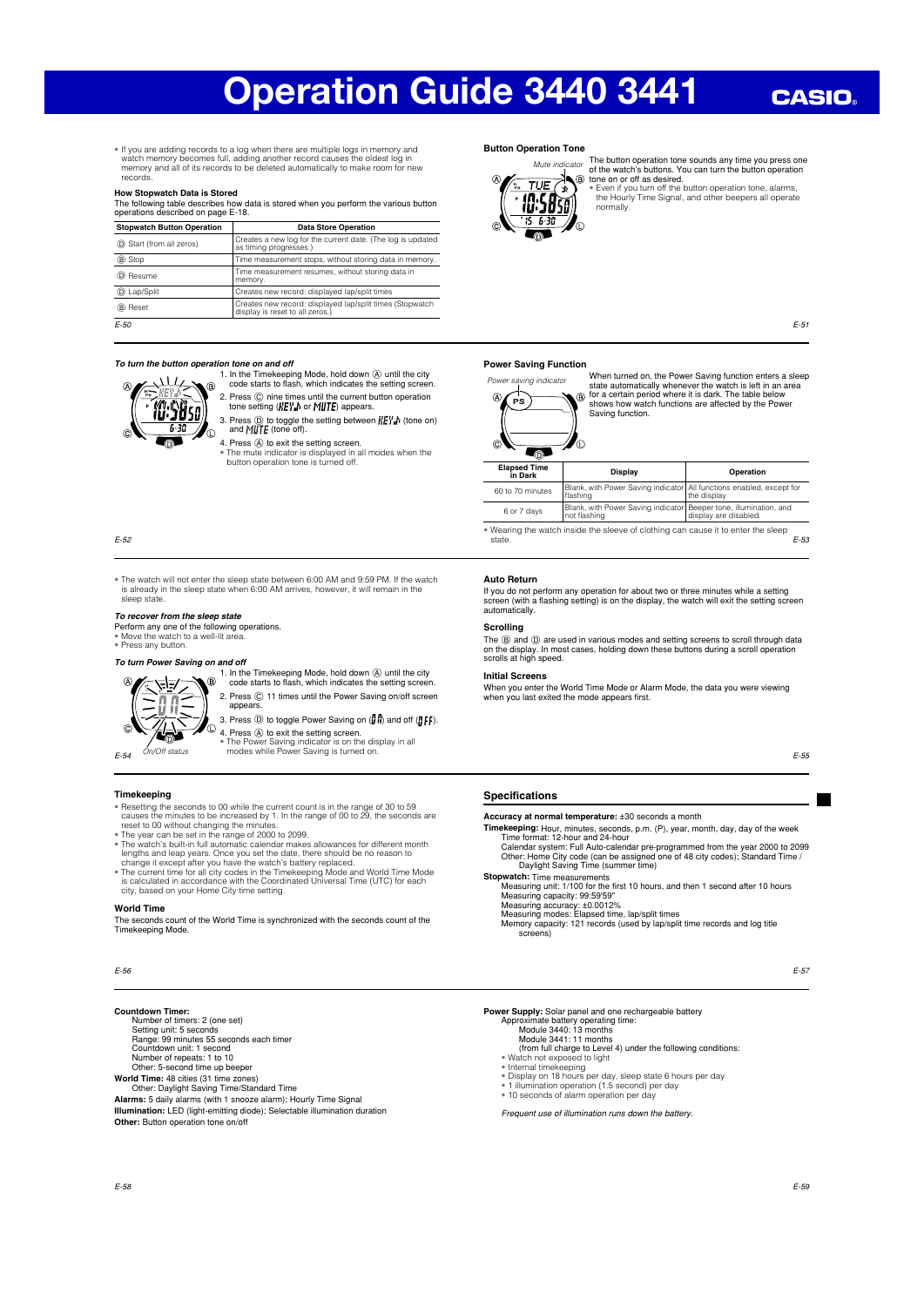## **CASIO**

• If you are adding records to a log when there are multiple logs in memory and watch memory becomes full, adding another record causes the oldest log in memory and all of its records to be deleted automatically to make room for new records.

#### **How Stopwatch Data is Stored**

The following table describes how data is stored when you perform the various button operations described on page E-18.

| <b>Stopwatch Button Operation</b> | <b>Data Store Operation</b>                                                                 |
|-----------------------------------|---------------------------------------------------------------------------------------------|
| (D) Start (from all zeros)        | Creates a new log for the current date. (The log is updated<br>as timing progresses.)       |
| ® Stop                            | Time measurement stops, without storing data in memory.                                     |
| (D) Resume                        | Time measurement resumes, without storing data in<br>memory.                                |
| <b>D</b> Lap/Split                | Creates new record: displayed lap/split times                                               |
| B Reset                           | Creates new record: displayed lap/split times (Stopwatch<br>display is reset to all zeros.) |
| $E-50$                            |                                                                                             |

#### *To turn the button operation tone on and off*



- 1. In the Timekeeping Mode, hold down  $\bigcirc$  until the city code starts to flash, which indicates the setting screen. 2. Press  $\circled{C}$  nine times until the current button operation tone setting  $\langle K E V \rangle$  or  $\langle M \rangle$  appears.
- 3. Press  $\textcircled{D}$  to toggle the setting between  $\textit{KET}_{\textit{m}}$  (tone on) and  $\textit{MijTE}$  (tone off).
- 4. Press  $\circledA$  to exit the setting screen.<br>• The mute indicator is displayed in all modes when the<br>button operation tone is turned off.

E-52

• The watch will not enter the sleep state between 6:00 AM and 9:59 PM. If the watch is already in the sleep state when 6:00 AM arrives, however, it will remain in the sleep state.

#### *To recover from the sleep state*

Perform any one of the following operations. • Move the watch to a well-lit area. • Press any button.

#### *To turn Power Saving on and off*



1. In the Timekeeping Mode, hold down  $\bigcirc$  until the city code starts to flash, which indicates the setting screen. 2. Press  $@$  11 times until the Power Saving on/off screen appears. 3. Press  $\circled{D}$  to toggle Power Saving on  $(\mathbf{g}, \mathbf{h})$  and off  $(\mathbf{g}, \mathbf{f}, \mathbf{h})$ .

4. Press  $\textcircled{a}$  to exit the setting screen.

- **Timekeeping**<br> **Timekeeping**<br> **Example seconds to 00 while the current count is in the range of 30 to 59<br>
e causes the minutes to be increased by 1. In the range of 00 to 29, the seconds are<br>
reset to 00 wibrout changing**
- 
- 
- city, based on your Home City time setting.

#### **World Time**

The seconds count of the World Time is synchronized with the seconds count of the Timekeeping Mode.

E-56

**Countdown Timer:**<br>Number of timers: 2 (one set) Number of timers: 2 (one set) Setting unit: 5 seconds Range: 99 minutes 55 seconds each timer Countdown unit: 1 second Number of repeats: 1 to 10 Other: 5-second time up beeper

**World Time:** 48 cities (31 time zones) Other: Daylight Saving Time/Standard Time

**Alarms:** 5 daily alarms (with 1 snooze alarm); Hourly Time Signal **Illumination:** LED (light-emitting diode); Selectable illumination duration **Other:** Button operation tone on/off

#### **Button Operation Tone**





The button operation tone sounds any time you press one<br>of the watch's buttons. You can turn the button operation<br>tone on or off as desired.<br>• Even if you turn off the button operation tone, alarms,<br>the Hourly Time Signal,

E-51

#### **Power Saving Function**



When turned on, the Power Saving function enters a sleep state automatically whenever the watch is left in an area for a certain period where it is dark. The table below shows how watch functions are affected by the Power Saving function.  $\circledB$ 

| O                              | O                                                                                |                                                         |  |  |  |  |  |
|--------------------------------|----------------------------------------------------------------------------------|---------------------------------------------------------|--|--|--|--|--|
| <b>Elapsed Time</b><br>in Dark | Display                                                                          | Operation                                               |  |  |  |  |  |
| 60 to 70 minutes               | Blank, with Power Saving indicator All functions enabled, except for<br>flashing | the display                                             |  |  |  |  |  |
| 6 or 7 days                    | Blank, with Power Saving indicator<br>not flashing                               | Beeper tone, illumination, and<br>display are disabled. |  |  |  |  |  |
|                                |                                                                                  |                                                         |  |  |  |  |  |

E-53 • Wearing the watch inside the sleeve of clothing can cause it to enter the sleep state.

#### **Auto Return**

If you do not perform any operation for about two or three minutes while a setting screen (with a fl ashing setting) is on the display, the watch will exit the setting screen automatically.

#### **Scrolling**

The ⑧ and ⑨ are used in various modes and setting screens to scroll through data<br>on the display. In most cases, holding down these buttons during a scroll operation<br>scrolls at high speed.

#### **Initial Screens**

When you enter the World Time Mode or Alarm Mode, the data you were viewing when you last exited the mode appears first.

#### **Specifications**

**Accuracy at normal temperature:** ±30 seconds a month

- **Timekeeping:** Hour, minutes, seconds, p.m. (P), year, month, day, day of the week Time format: 12-hour and 24-hour Calendar system: Full Auto-calendar pre-programmed from the year 2000 to 2099 Other: Home City code (can be assigned one of 48 city codes); Standard Time / Daylight Saving Time (summer time)
- **Stopwatch:** Time measurements
	- Measuring unit: 1/100 for the first 10 hours, and then 1 second after 10 hours<br>Measuring capacity: 99:59'59"<br>Measuring accuracy: ±0.0012%<br>Measuring modes: Elapsed time, lap/split times<br>Memory capacity: 121 records (used by

screens)

E-57

**Power Supply:** Solar panel and one rechargeable battery

- Approximate battery operating time: Module 3440: 13 months
- Module 3441: 11 months
- (from full charge to Level 4) under the following conditions: Watch not exposed to light
- 
- Internal timekeeping Display on 18 hours per day, sleep state 6 hours per day
- 1 illumination operation (1.5 second) per day 10 seconds of alarm operation per day
- Frequent use of illumination runs down the battery.

# $\sqrt{\phantom{a_{\rm W}^2}}$  • The Power Saving indicator is on the display in all  $\sqrt{Dn}/$  of status modes while Power Saving is turned on.